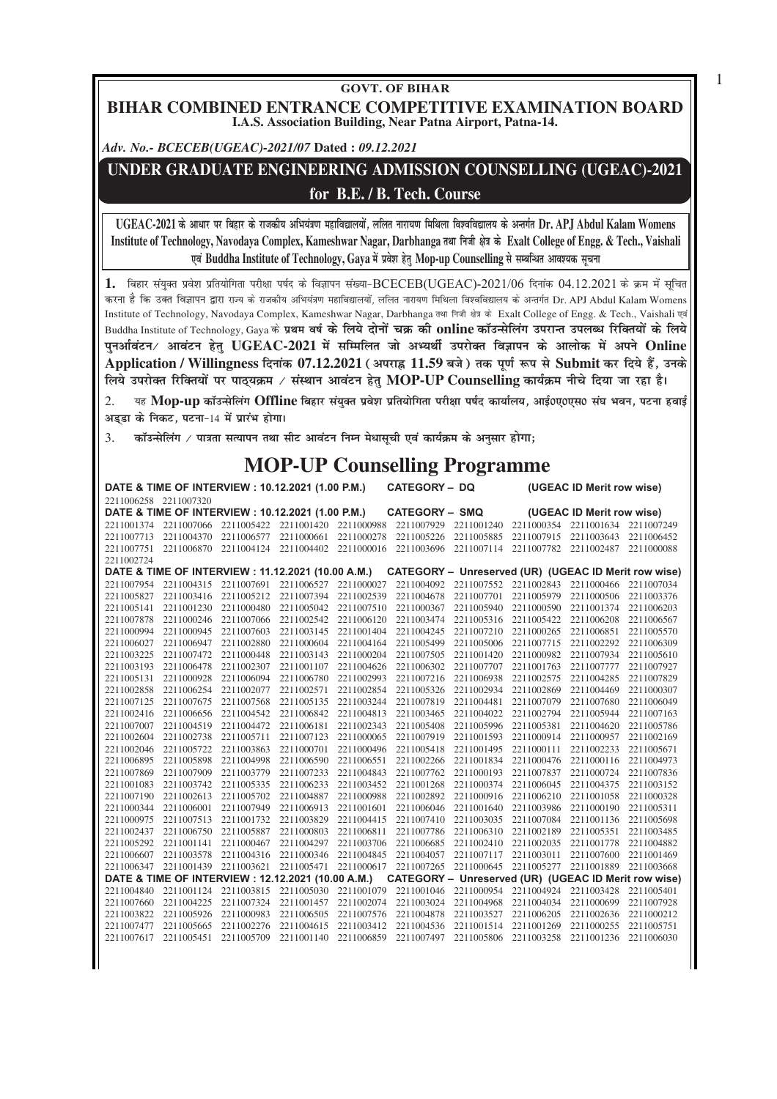## **GOVT. OF BIHAR BIHAR COMBINED ENTRANCE COMPETITIVE EXAMINATION BOARD I.A.S. Association Building, Near Patna Airport, Patna-14.**

1

*Adv. No.- BCECEB(UGEAC)-2021/07* **Dated :** *09.12.2021*

## **UNDER GRADUATE ENGINEERING ADMISSION COUNSELLING (UGEAC)-2021 for B.E. / B. Tech. Course**

**UGEAC-2021 ds vk/kj ij fcgkj ds jktdh; vfHk;a=k.k egkfo|ky;ksa] yfyr ukjk;.k fefFkyk fo'ofo|ky; ds vUrxZr Dr. APJ Abdul Kalam Womens** Institute of Technology, Navodaya Complex, Kameshwar Nagar, Darbhanga तथा निजी क्षेत्र के Exalt College of Engg. & Tech., Vaishali **एवं Buddha Institute of Technology, Gaya** में प्रवेश हेतु Mop-up Counselling से सम्बन्धित आवश्यक सूचना

1. बिहार संयक्त प्रवेश प्रतियोगिता परीक्षा पर्षद के विज्ञापन संख्या-BCECEB(UGEAC)-2021/06 दिनांक 04.12.2021 के क्रम में सचित करना है कि उक्त विज्ञापन द्वारा राज्य के राजकीय अभियंत्रण महाविद्यालयों, ललित नारायण मिथिला विश्वविद्यालय के अन्तर्गत Dr. APJ Abdul Kalam Womens Institute of Technology, Navodaya Complex, Kameshwar Nagar, Darbhanga तथा निजी क्षेत्र के Exalt College of Engg. & Tech., Vaishali एवं Buddha Institute of Technology, Gaya के प्रथम वर्ष के लिये दोनों चक्र की online कॉउन्सेलिंग उपरान्त उपलब्ध रिक्तियों के लिये **iquvkZoaVu@ vkoaVu gsrq UGEAC-2021 esa lfEefyr tks vH;FkhZ mijksDr foKkiu ds vkyksd esa vius Online** Application / Willingness दिनांक 07.12.2021 (अपराह्र 11.59 बजे) तक पूर्ण रूप से Submit कर दिये हैं, उनके **fy;s mijksDr fjfDr;ksa ij ikB~;Øe @ laLFkku vkoaVu gsrq MOP-UP Counselling dk;ZØe uhps fn;k tk jgk gSA**

 $2.$  <sub>द</sub>ु Mop-up कॉउन्सेलिंग Offline बिहार संयुक्त प्रवेश प्रतियोगिता परीक्षा पर्षद कार्यालय, आई0ए0एस0 संघ भवन, पटना हवाई अडडा के निकट, पटना-14 में प्रारंभ होगा।

3. कॉउन्सेलिंग / पात्रता सत्यापन तथा सीट आवंटन निम्न मेधासूची एवं कार्यक्रम के अनुसार होगा;

## **MOP-UP Counselling Programme**

|                                                  | DATE & TIME OF INTERVIEW : 10.12.2021 (1.00 P.M.) |            |            |            | <b>CATEGORY - DQ</b>                                 |                       |            | (UGEAC ID Merit row wise) |            |
|--------------------------------------------------|---------------------------------------------------|------------|------------|------------|------------------------------------------------------|-----------------------|------------|---------------------------|------------|
| 2211006258 2211007320                            |                                                   |            |            |            |                                                      |                       |            |                           |            |
| DATE & TIME OF INTERVIEW: 10.12.2021 (1.00 P.M.) |                                                   |            |            |            |                                                      | <b>CATEGORY - SMQ</b> |            | (UGEAC ID Merit row wise) |            |
|                                                  | 2211001374 2211007066                             | 2211005422 | 2211001420 | 2211000988 | 2211007929                                           | 2211001240            |            | 2211000354 2211001634     | 2211007249 |
| 2211007713                                       | 2211004370                                        | 2211006577 | 2211000661 | 2211000278 | 2211005226                                           | 2211005885            | 2211007915 | 2211003643                | 2211006452 |
| 2211007751                                       | 2211006870                                        | 2211004124 | 2211004402 | 2211000016 | 2211003696                                           | 2211007114            | 2211007782 | 2211002487                | 2211000088 |
| 2211002724                                       |                                                   |            |            |            |                                                      |                       |            |                           |            |
|                                                  | DATE & TIME OF INTERVIEW: 11.12.2021 (10.00 A.M.) |            |            |            | CATEGORY - Unreserved (UR) (UGEAC ID Merit row wise) |                       |            |                           |            |
| 2211007954                                       | 2211004315                                        | 2211007691 | 2211006527 | 2211000027 | 2211004092                                           | 2211007552            | 2211002843 | 2211000466                | 2211007034 |
| 2211005827                                       | 2211003416                                        | 2211005212 | 2211007394 | 2211002539 | 2211004678                                           | 2211007701            | 2211005979 | 2211000506                | 2211003376 |
| 2211005141                                       | 2211001230                                        | 2211000480 | 2211005042 | 2211007510 | 2211000367                                           | 2211005940            | 2211000590 | 2211001374                | 2211006203 |
| 2211007878                                       | 2211000246                                        | 2211007066 | 2211002542 | 2211006120 | 2211003474                                           | 2211005316            | 2211005422 | 2211006208                | 2211006567 |
| 2211000994                                       | 2211000945                                        | 2211007603 | 2211003145 | 2211001404 | 2211004245                                           | 2211007210            | 2211000265 | 2211006851                | 2211005570 |
| 2211006027                                       | 2211006947                                        | 2211002880 | 2211000604 | 2211004164 | 2211005499                                           | 2211005006            | 2211007715 | 2211002292                | 2211006309 |
| 2211003225                                       | 2211007472                                        | 2211000448 | 2211003143 | 2211000204 | 2211007505                                           | 2211001420            | 2211000982 | 2211007934                | 2211005610 |
| 2211003193                                       | 2211006478                                        | 2211002307 | 2211001107 | 2211004626 | 2211006302                                           | 2211007707            | 2211001763 | 2211007777                | 2211007927 |
| 2211005131                                       | 2211000928                                        | 2211006094 | 2211006780 | 2211002993 | 2211007216                                           | 2211006938            | 2211002575 | 2211004285                | 2211007829 |
| 2211002858                                       | 2211006254                                        | 2211002077 | 2211002571 | 2211002854 | 2211005326                                           | 2211002934            | 2211002869 | 2211004469                | 2211000307 |
| 2211007125                                       | 2211007675                                        | 2211007568 | 2211005135 | 2211003244 | 2211007819                                           | 2211004481            | 2211007079 | 2211007680                | 2211006049 |
| 2211002416                                       | 2211006656                                        | 2211004542 | 2211006842 | 2211004813 | 2211003465                                           | 2211004022            | 2211002794 | 2211005944                | 2211007163 |
| 2211007007                                       | 2211004519                                        | 2211004472 | 2211006181 | 2211002343 | 2211005408                                           | 2211005996            | 2211005381 | 2211004620                | 2211005786 |
| 2211002604                                       | 2211002738                                        | 2211005711 | 2211007123 | 2211000065 | 2211007919                                           | 2211001593            | 2211000914 | 2211000957                | 2211002169 |
| 2211002046                                       | 2211005722                                        | 2211003863 | 2211000701 | 2211000496 | 2211005418                                           | 2211001495            | 2211000111 | 2211002233                | 2211005671 |
| 2211006895                                       | 2211005898                                        | 2211004998 | 2211006590 | 2211006551 | 2211002266                                           | 2211001834            | 2211000476 | 2211000116                | 2211004973 |
| 2211007869                                       | 2211007909                                        | 2211003779 | 2211007233 | 2211004843 | 2211007762                                           | 2211000193            | 2211007837 | 2211000724                | 2211007836 |
| 2211001083                                       | 2211003742                                        | 2211005335 | 2211006233 | 2211003452 | 2211001268                                           | 2211000374            | 2211006045 | 2211004375                | 2211003152 |
| 2211007190                                       | 2211002613                                        | 2211005702 | 2211004887 | 2211000988 | 2211002892                                           | 2211000916            | 2211006210 | 2211001058                | 2211000328 |
| 2211000344                                       | 2211006001                                        | 2211007949 | 2211006913 | 2211001601 | 2211006046                                           | 2211001640            | 2211003986 | 2211000190                | 2211005311 |
| 2211000975                                       | 2211007513                                        | 2211001732 | 2211003829 | 2211004415 | 2211007410                                           | 2211003035            | 2211007084 | 2211001136                | 2211005698 |
| 2211002437                                       | 2211006750                                        | 2211005887 | 2211000803 | 2211006811 | 2211007786                                           | 2211006310            | 2211002189 | 2211005351                | 2211003485 |
| 2211005292                                       | 2211001141                                        | 2211000467 | 2211004297 | 2211003706 | 2211006685                                           | 2211002410            | 2211002035 | 2211001778                | 2211004882 |
| 2211006607                                       | 2211003578                                        | 2211004316 | 2211000346 | 2211004845 | 2211004057                                           | 2211007117            | 2211003011 | 2211007600                | 2211001469 |
| 2211006347                                       | 2211001439                                        | 2211003621 | 2211005471 | 2211000617 | 2211007265                                           | 2211000645            | 2211005277 | 2211001889                | 2211003668 |
|                                                  | DATE & TIME OF INTERVIEW: 12.12.2021 (10.00 A.M.) |            |            |            | CATEGORY - Unreserved (UR) (UGEAC ID Merit row wise) |                       |            |                           |            |
| 2211004840                                       | 2211001124                                        | 2211003815 | 2211005030 | 2211001079 | 2211001046                                           | 2211000954            | 2211004924 | 2211003428                | 2211005401 |
| 2211007660                                       | 2211004225                                        | 2211007324 | 2211001457 | 2211002074 | 2211003024                                           | 2211004968            | 2211004034 | 2211000699                | 2211007928 |
| 2211003822                                       | 2211005926                                        | 2211000983 | 2211006505 | 2211007576 | 2211004878                                           | 2211003527            | 2211006205 | 2211002636                | 2211000212 |
| 2211007477                                       | 2211005665                                        | 2211002276 | 2211004615 | 2211003412 | 2211004536                                           | 2211001514            | 2211001269 | 2211000255                | 2211005751 |
| 2211007617                                       | 2211005451                                        | 2211005709 | 2211001140 | 2211006859 | 2211007497                                           | 2211005806            | 2211003258 | 2211001236                | 2211006030 |
|                                                  |                                                   |            |            |            |                                                      |                       |            |                           |            |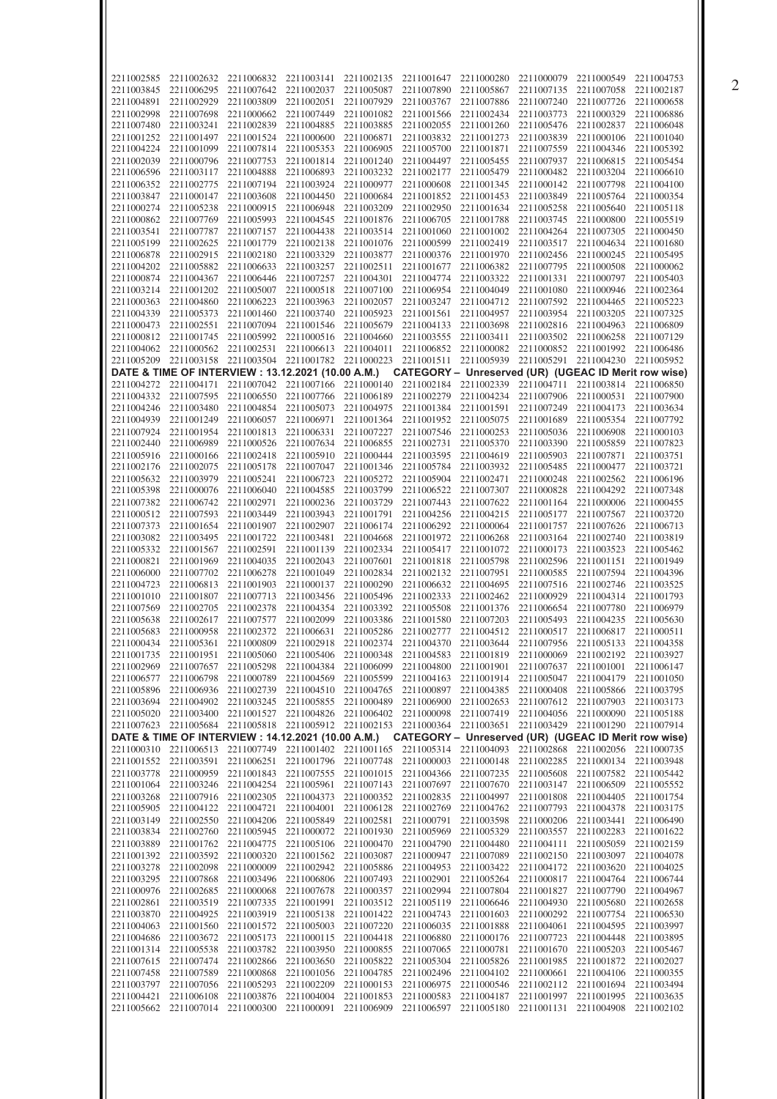| 2211002585               |                          |                                                                                                               |                          |                                  |                                             |                                                        |                                     |                                     |                          |
|--------------------------|--------------------------|---------------------------------------------------------------------------------------------------------------|--------------------------|----------------------------------|---------------------------------------------|--------------------------------------------------------|-------------------------------------|-------------------------------------|--------------------------|
|                          | 2211002632               | 2211006832                                                                                                    | 2211003141               | 2211002135                       | 2211001647                                  | 2211000280                                             | 2211000079                          | 2211000549                          | 2211004753               |
| 2211003845               | 2211006295               | 2211007642                                                                                                    | 2211002037               | 2211005087                       | 2211007890                                  | 2211005867                                             | 2211007135                          | 2211007058                          | 2211002187               |
| 2211004891               | 2211002929               | 2211003809                                                                                                    | 2211002051               | 2211007929                       | 2211003767                                  | 2211007886                                             | 2211007240                          | 2211007726                          | 2211000658               |
| 2211002998               | 2211007698               | 2211000662                                                                                                    | 2211007449               | 2211001082                       | 2211001566                                  | 2211002434                                             | 2211003773                          | 2211000329                          | 2211006886               |
| 2211007480               | 2211003241               | 2211002839                                                                                                    | 2211004885               | 2211003885                       | 2211002055                                  | 2211001260                                             | 2211005476                          | 2211002837                          | 2211006048               |
| 2211001252               | 2211001497               | 2211001524                                                                                                    | 2211000600               | 2211006871                       | 2211003832                                  | 2211001273                                             | 2211003839                          | 2211000106                          | 2211001040               |
| 2211004224               | 2211001099               | 2211007814                                                                                                    | 2211005353               | 2211006905                       | 2211005700                                  | 2211001871                                             | 2211007559                          | 2211004346                          | 2211005392               |
| 2211002039               | 2211000796               | 2211007753                                                                                                    | 2211001814               | 2211001240                       | 2211004497                                  | 2211005455                                             | 2211007937                          | 2211006815                          | 2211005454               |
| 2211006596               | 2211003117               | 2211004888                                                                                                    | 2211006893               | 2211003232                       | 2211002177                                  | 2211005479                                             | 2211000482                          | 2211003204                          | 2211006610               |
| 2211006352               | 2211002775               | 2211007194                                                                                                    | 2211003924               | 2211000977                       | 2211000608                                  | 2211001345                                             | 2211000142                          | 2211007798                          | 2211004100               |
| 2211003847               | 2211000147               | 2211003608                                                                                                    | 2211004450               | 2211000684                       | 2211001852                                  | 2211001453                                             | 2211003849                          | 2211005764                          | 2211000354               |
| 2211000274               | 2211005238               | 2211000915                                                                                                    | 2211006948               | 2211003209                       | 2211002950                                  | 2211001634                                             | 2211005258                          | 2211005640                          | 2211005118               |
| 2211000862               | 2211007769               | 2211005993                                                                                                    | 2211004545               | 2211001876                       | 2211006705                                  | 2211001788                                             | 2211003745                          | 2211000800                          | 2211005519               |
| 2211003541               | 2211007787               | 2211007157                                                                                                    | 2211004438               | 2211003514                       | 2211001060                                  | 2211001002                                             | 2211004264                          | 2211007305                          | 2211000450               |
| 2211005199               | 2211002625               | 2211001779                                                                                                    | 2211002138               | 2211001076                       | 2211000599                                  | 2211002419                                             | 2211003517                          | 2211004634                          | 2211001680               |
| 2211006878               | 2211002915               | 2211002180                                                                                                    | 2211003329               | 2211003877                       | 2211000376                                  | 2211001970                                             | 2211002456                          | 2211000245                          | 2211005495               |
| 2211004202               | 2211005882               | 2211006633                                                                                                    | 2211003257               | 2211002511                       | 2211001677                                  | 2211006382                                             | 2211007795                          | 2211000508                          | 2211000062               |
| 2211000874               | 2211004367               | 2211006446                                                                                                    | 2211007257               | 2211004301                       | 2211004774                                  | 2211003322                                             | 2211001331                          | 2211000797                          | 2211005403               |
| 2211003214               | 2211001202               | 2211005007                                                                                                    | 2211000518               | 2211007100                       | 2211006954                                  | 2211004049                                             | 2211001080                          | 2211000946                          | 2211002364               |
| 2211000363               | 2211004860               | 2211006223                                                                                                    | 2211003963               | 2211002057                       | 2211003247                                  | 2211004712                                             | 2211007592                          | 2211004465                          | 2211005223               |
| 2211004339               | 2211005373               | 2211001460                                                                                                    | 2211003740               | 2211005923                       | 2211001561                                  | 2211004957                                             | 2211003954                          | 2211003205                          | 2211007325               |
| 2211000473               | 2211002551               | 2211007094                                                                                                    | 2211001546               | 2211005679                       | 2211004133                                  | 2211003698                                             | 2211002816                          | 2211004963                          | 2211006809               |
| 2211000812               | 2211001745               | 2211005992                                                                                                    | 2211000516               | 2211004660                       | 2211003555                                  | 2211003411                                             | 2211003502                          | 2211006258                          | 2211007129               |
| 2211004062               | 2211000562               | 2211002531                                                                                                    | 2211006613               | 2211004011                       | 2211006852                                  | 2211000082                                             | 2211000852                          | 2211001992                          | 2211006486               |
| 2211005209               | 2211003158               | 2211003504                                                                                                    | 2211001782               | 2211000223                       | 2211001511                                  | 2211005939                                             | 2211005291                          | 2211004230                          | 2211005952               |
|                          |                          | DATE & TIME OF INTERVIEW : 13.12.2021 (10.00 A.M.)                                                            |                          |                                  |                                             | CATEGORY - Unreserved (UR) (UGEAC ID Merit row wise)   |                                     |                                     |                          |
| 2211004272               | 2211004171               | 2211007042                                                                                                    | 2211007166               | 2211000140                       | 2211002184                                  | 2211002339                                             | 2211004711                          | 2211003814                          | 2211006850               |
| 2211004332               | 2211007595               | 2211006550                                                                                                    | 2211007766               | 2211006189                       | 2211002279                                  | 2211004234                                             | 2211007906                          | 2211000531                          | 2211007900               |
| 2211004246               | 2211003480               | 2211004854                                                                                                    | 2211005073               | 2211004975                       | 2211001384                                  | 2211001591                                             | 2211007249                          | 2211004173                          | 2211003634               |
| 2211004939               | 2211001249               | 2211006057                                                                                                    | 2211006971               | 2211001364                       | 2211001952                                  | 2211005075                                             | 2211001689                          | 2211005354                          | 2211007792               |
| 2211007924               | 2211001954               | 2211001813                                                                                                    | 2211006331               | 2211007227                       | 2211007546                                  | 2211000253                                             | 2211005036                          | 2211006908                          | 2211000103               |
| 2211002440               | 2211006989               | 2211000526                                                                                                    | 2211007634               | 2211006855                       | 2211002731                                  | 2211005370                                             | 2211003390                          | 2211005859                          | 2211007823               |
| 2211005916               | 2211000166               | 2211002418                                                                                                    | 2211005910               | 2211000444                       | 2211003595                                  | 2211004619                                             | 2211005903                          | 2211007871                          | 2211003751               |
| 2211002176               | 2211002075               | 2211005178                                                                                                    | 2211007047               | 2211001346                       | 2211005784                                  | 2211003932                                             | 2211005485                          | 2211000477                          | 2211003721               |
| 2211005632               | 2211003979               | 2211005241                                                                                                    | 2211006723               | 2211005272                       | 2211005904                                  | 2211002471                                             | 2211000248                          | 2211002562                          | 2211006196               |
| 2211005398               | 2211000076               | 2211006040                                                                                                    | 2211004585               | 2211003799                       | 2211006522                                  | 2211007307                                             | 2211000828                          | 2211004292                          | 2211007348               |
| 2211007382               | 2211006742               | 2211002971                                                                                                    | 2211000236               | 2211003729                       | 2211007443                                  | 2211007622                                             | 2211001164                          | 2211000006                          | 2211000455               |
| 2211000512               | 2211007593               | 2211003449                                                                                                    | 2211003943               | 2211001791                       | 2211004256                                  | 2211004215                                             | 2211005177                          | 2211007567                          | 2211003720               |
| 2211007373               | 2211001654               | 2211001907                                                                                                    | 2211002907               | 2211006174                       | 2211006292                                  | 2211000064                                             | 2211001757                          | 2211007626                          | 2211006713               |
| 2211003082               | 2211003495               | 2211001722                                                                                                    | 2211003481               | 2211004668                       | 2211001972                                  | 2211006268                                             | 2211003164                          | 2211002740                          | 2211003819               |
| 2211005332               | 2211001567               | 2211002591                                                                                                    | 2211001139               | 2211002334                       | 2211005417                                  | 2211001072                                             | 2211000173                          | 2211003523                          | 2211005462               |
| 2211000821               | 2211001969               | 2211004035                                                                                                    | 2211002043               | 2211007601                       | 2211001818                                  | 2211005798                                             | 2211002596                          | 2211001151                          | 2211001949               |
| 2211006000               | 2211007702               | 2211006278                                                                                                    | 2211001049               | 2211002834                       | 2211002132                                  | 2211007951                                             | 2211000585                          | 2211007594                          | 2211004396               |
| 2211004723               | 2211006813               | 2211001903                                                                                                    | 2211000137               | 2211000290                       | 2211006632                                  | 2211004695                                             | 2211007516                          | 2211002746                          | 2211003525               |
| 2211001010               | 2211001807               | 2211007713                                                                                                    | 2211003456               | 2211005496                       | 2211002333                                  | 2211002462                                             | 2211000929                          | 2211004314                          | 2211001793               |
| 2211007569               | 2211002705               | 2211002378                                                                                                    | 2211004354               | 2211003392                       | 2211005508                                  | 2211001376                                             | 2211006654                          | 2211007780                          | 2211006979               |
| 2211005638               | 2211002617               |                                                                                                               |                          |                                  |                                             |                                                        |                                     |                                     |                          |
|                          |                          | 2211007577                                                                                                    | 2211002099               | 2211003386                       | 2211001580                                  | 2211007203                                             | 2211005493                          | 2211004235                          | 2211005630               |
| 2211005683               | 2211000958               | 2211002372                                                                                                    | 2211006631               |                                  | 2211005286 2211002777                       | 2211004512                                             | 2211000517                          | 2211006817                          | 2211000511               |
|                          |                          | 2211000434 2211005361 2211000809 2211002918 2211002374 2211004370 2211003644 2211007956 2211005133 2211004358 |                          |                                  |                                             |                                                        |                                     |                                     |                          |
|                          |                          | 2211001735 2211001951 2211005060 2211005406 2211000348 2211004583 2211001819 2211000069 2211002192 2211003927 |                          |                                  |                                             |                                                        |                                     |                                     |                          |
| 2211002969               | 2211007657               | 2211005298                                                                                                    | 2211004384               | 2211006099                       |                                             | 2211004800 2211001901                                  | 2211007637                          | 2211001001                          | 2211006147               |
| 2211006577               | 2211006798               | 2211000789                                                                                                    | 2211004569               | 2211005599                       |                                             | 2211004163 2211001914                                  | 2211005047                          | 2211004179                          | 2211001050               |
| 2211005896               | 2211006936               | 2211002739                                                                                                    | 2211004510               | 2211004765                       | 2211000897                                  | 2211004385                                             | 2211000408                          | 2211005866                          | 2211003795               |
|                          | 2211003694 2211004902    |                                                                                                               |                          |                                  |                                             | 2211003245 2211005855 2211000489 2211006900 2211002653 |                                     | 2211007612 2211007903               | 2211003173               |
| 2211005020               | 2211003400               | 2211001527                                                                                                    |                          | 2211004826 2211006402 2211000098 |                                             | 2211007419                                             |                                     | 2211004056 2211000090 2211005188    |                          |
|                          |                          | 2211007623 2211005684 2211005818 2211005912 2211002153 2211000364 2211003651 2211003429 2211001290 2211007914 |                          |                                  |                                             |                                                        |                                     |                                     |                          |
|                          |                          | DATE & TIME OF INTERVIEW : 14.12.2021 (10.00 A.M.) CATEGORY - Unreserved (UR) (UGEAC ID Merit row wise)       |                          |                                  |                                             |                                                        |                                     |                                     |                          |
|                          |                          | 2211000310 2211006513 2211007749 2211001402 2211001165 2211005314 2211004093 2211002868 2211002056 2211000735 |                          |                                  |                                             |                                                        |                                     |                                     |                          |
| 2211001552               | 2211003591               | 2211006251                                                                                                    | 2211001796               | 2211007748                       | 2211000003                                  | 2211000148                                             | 2211002285                          | 2211000134                          | 2211003948               |
| 2211003778               | 2211000959               | 2211001843                                                                                                    |                          |                                  | 2211007555 2211001015 2211004366 2211007235 |                                                        | 2211005608                          | 2211007582                          | 2211005442               |
| 2211001064               | 2211003246               | 2211004254                                                                                                    | 2211005961               | 2211007143                       |                                             | 2211007697 2211007670                                  | 2211003147                          | 2211006509                          | 2211005552               |
| 2211003268               | 2211007916               | 2211002305                                                                                                    | 2211004373               | 2211000352                       | 2211002835                                  | 2211004997                                             | 2211001808                          | 2211004405                          | 2211001754               |
| 2211005905               | 2211004122               | 2211004721                                                                                                    | 2211004001               | 2211006128                       | 2211002769                                  | 2211004762                                             | 2211007793                          | 2211004378                          | 2211003175               |
| 2211003149               | 2211002550               | 2211004206                                                                                                    | 2211005849               | 2211002581                       |                                             | 2211000791 2211003598                                  | 2211000206                          | 2211003441                          | 2211006490               |
| 2211003834               | 2211002760               | 2211005945                                                                                                    | 2211000072               | 2211001930                       | 2211005969                                  | 2211005329                                             | 2211003557                          | 2211002283                          | 2211001622               |
| 2211003889               | 2211001762               | 2211004775                                                                                                    | 2211005106               | 2211000470                       |                                             | 2211004790 2211004480                                  | 2211004111                          | 2211005059                          | 2211002159               |
| 2211001392               | 2211003592               | 2211000320                                                                                                    | 2211001562               | 2211003087                       | 2211000947                                  | 2211007089                                             | 2211002150                          | 2211003097                          | 2211004078               |
| 2211003278               | 2211002098               | 2211000009                                                                                                    | 2211002942               | 2211005886                       | 2211004953                                  | 2211003422                                             | 2211004172                          | 2211003620                          | 2211004025               |
| 2211003295               | 2211007868               | 2211003496                                                                                                    | 2211006806               | 2211007493                       | 2211002901                                  | 2211005264                                             | 2211000817                          | 2211004764                          | 2211006744               |
| 2211000976               | 2211002685               | 2211000068                                                                                                    | 2211007678               | 2211000357                       | 2211002994                                  | 2211007804                                             | 2211001827                          | 2211007790                          | 2211004967               |
| 2211002861               | 2211003519               | 2211007335                                                                                                    | 2211001991               | 2211003512                       | 2211005119                                  | 2211006646                                             | 2211004930                          | 2211005680                          | 2211002658               |
| 2211003870               | 2211004925               | 2211003919                                                                                                    | 2211005138               | 2211001422                       | 2211004743                                  | 2211001603                                             | 2211000292                          | 2211007754                          | 2211006530               |
| 2211004063               | 2211001560               | 2211001572                                                                                                    | 2211005003               | 2211007220                       | 2211006035                                  | 2211001888                                             | 2211004061                          | 2211004595                          | 2211003997               |
| 2211004686               | 2211003672               | 2211005173                                                                                                    | 2211000115               | 2211004418                       | 2211006880                                  | 2211000176                                             | 2211007723                          | 2211004448                          | 2211003895               |
| 2211001314               | 2211005538               | 2211003782                                                                                                    | 2211003950               | 2211000855                       | 2211007065                                  | 2211000781                                             | 2211001670                          | 2211005203                          | 2211005467               |
| 2211007615               | 2211007474               | 2211002866                                                                                                    | 2211003650               | 2211005822                       | 2211005304                                  | 2211005826                                             | 2211001985                          | 2211001872                          | 2211002027               |
| 2211007458               | 2211007589               | 2211000868                                                                                                    | 2211001056               | 2211004785                       | 2211002496                                  | 2211004102                                             | 2211000661                          | 2211004106                          | 2211000355               |
| 2211003797<br>2211004421 | 2211007056<br>2211006108 | 2211005293                                                                                                    | 2211002209               | 2211000153<br>2211001853         |                                             | 2211006975 2211000546                                  |                                     | 2211002112 2211001694<br>2211001995 | 2211003494               |
| 2211005662               |                          | 2211003876<br>2211007014 2211000300                                                                           | 2211004004<br>2211000091 | 2211006909                       | 2211000583                                  | 2211004187<br>2211006597 2211005180                    | 2211001997<br>2211001131 2211004908 |                                     | 2211003635<br>2211002102 |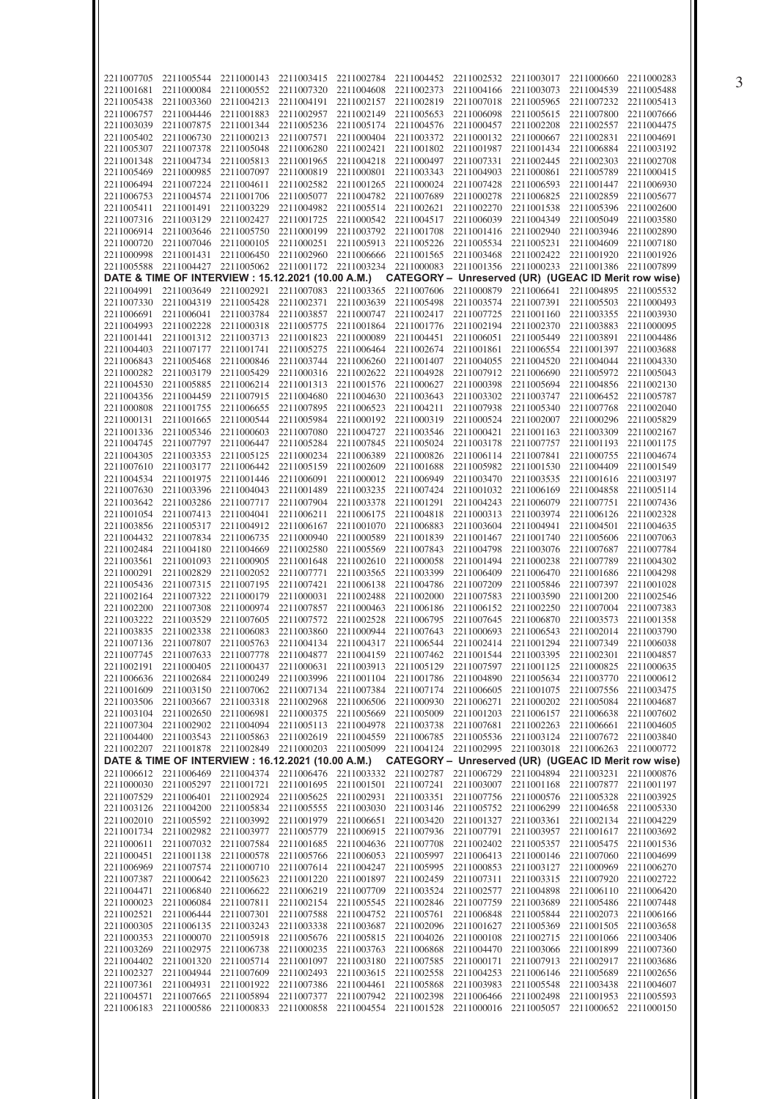| 2211007705               | 2211005544                                                                                                    | 2211000143 | 2211003415                                             | 2211002784 | 2211004452                                                        | 2211002532                       | 2211003017            | 2211000660                       | 2211000283               |
|--------------------------|---------------------------------------------------------------------------------------------------------------|------------|--------------------------------------------------------|------------|-------------------------------------------------------------------|----------------------------------|-----------------------|----------------------------------|--------------------------|
| 2211001681               | 2211000084                                                                                                    | 2211000552 | 2211007320                                             | 2211004608 | 2211002373                                                        | 2211004166                       | 2211003073            | 2211004539                       | 2211005488               |
|                          |                                                                                                               |            |                                                        |            |                                                                   | 2211007018                       | 2211005965            |                                  | 2211005413               |
| 2211005438               | 2211003360                                                                                                    | 2211004213 | 2211004191                                             | 2211002157 | 2211002819                                                        |                                  |                       | 2211007232                       |                          |
| 2211006757               | 2211004446                                                                                                    | 2211001883 | 2211002957                                             | 2211002149 | 2211005653                                                        | 2211006098                       | 2211005615            | 2211007800                       | 2211007666               |
| 2211003039               | 2211007875                                                                                                    | 2211001344 | 2211005236                                             | 2211005174 | 2211004576                                                        | 2211000457                       | 2211002208            | 2211002557                       | 2211004475               |
| 2211005402               | 2211006730                                                                                                    | 2211000213 | 2211007571                                             | 2211000404 | 2211003372                                                        | 2211000132                       | 2211000667            | 2211002831                       | 2211004691               |
| 2211005307               | 2211007378                                                                                                    | 2211005048 | 2211006280                                             | 2211002421 | 2211001802                                                        | 2211001987                       | 2211001434            | 2211006884                       | 2211003192               |
| 2211001348               | 2211004734                                                                                                    | 2211005813 | 2211001965                                             | 2211004218 | 2211000497                                                        | 2211007331                       | 2211002445            | 2211002303                       | 2211002708               |
| 2211005469               | 2211000985                                                                                                    | 2211007097 | 2211000819                                             | 2211000801 | 2211003343                                                        | 2211004903                       | 2211000861            | 2211005789                       | 2211000415               |
| 2211006494               | 2211007224                                                                                                    | 2211004611 | 2211002582                                             | 2211001265 | 2211000024                                                        | 2211007428                       | 2211006593            | 2211001447                       | 2211006930               |
| 2211006753               | 2211004574                                                                                                    | 2211001706 | 2211005077                                             | 2211004782 | 2211007689                                                        | 2211000278                       | 2211006825            | 2211002859                       | 2211005677               |
| 2211005411               | 2211001491                                                                                                    | 2211003229 | 2211004982                                             | 2211005514 | 2211002621                                                        | 2211002270                       | 2211001538            | 2211005396                       | 2211002600               |
| 2211007316               | 2211003129                                                                                                    | 2211002427 | 2211001725                                             | 2211000542 | 2211004517                                                        | 2211006039                       | 2211004349            | 2211005049                       | 2211003580               |
| 2211006914               | 2211003646                                                                                                    | 2211005750 | 2211000199                                             | 2211003792 | 2211001708                                                        | 2211001416                       | 2211002940            | 2211003946                       | 2211002890               |
| 2211000720               | 2211007046                                                                                                    | 2211000105 | 2211000251                                             | 2211005913 | 2211005226                                                        | 2211005534                       | 2211005231            | 2211004609                       | 2211007180               |
|                          |                                                                                                               |            |                                                        |            |                                                                   |                                  |                       | 2211001920                       |                          |
| 2211000998               | 2211001431                                                                                                    | 2211006450 | 2211002960                                             | 2211006666 | 2211001565                                                        | 2211003468                       | 2211002422            |                                  | 2211001926               |
| 2211005588               | 2211004427                                                                                                    | 2211005062 | 2211001172                                             | 2211003234 | 2211000083                                                        | 2211001356                       | 2211000233            | 2211001386                       | 2211007899               |
|                          | DATE & TIME OF INTERVIEW : 15.12.2021 (10.00 A.M.)                                                            |            |                                                        |            | CATEGORY - Unreserved (UR) (UGEAC ID Merit row wise)              |                                  |                       |                                  |                          |
| 2211004991               | 2211003649                                                                                                    | 2211002921 | 2211007083                                             | 2211003365 | 2211007606                                                        | 2211000879                       | 2211006641            | 2211004895                       | 2211005532               |
| 2211007330               | 2211004319                                                                                                    | 2211005428 | 2211002371                                             | 2211003639 | 2211005498                                                        | 2211003574                       | 2211007391            | 2211005503                       | 2211000493               |
| 2211006691               | 2211006041                                                                                                    | 2211003784 | 2211003857                                             | 2211000747 | 2211002417                                                        | 2211007725                       | 2211001160            | 2211003355                       | 2211003930               |
| 2211004993               | 2211002228                                                                                                    | 2211000318 | 2211005775                                             | 2211001864 | 2211001776                                                        | 2211002194                       | 2211002370            | 2211003883                       | 2211000095               |
| 2211001441               | 2211001312                                                                                                    | 2211003713 | 2211001823                                             | 2211000089 | 2211004451                                                        | 2211006051                       | 2211005449            | 2211003891                       | 2211004486               |
| 2211004403               | 2211007177                                                                                                    | 2211001741 | 2211005275                                             | 2211006464 | 2211002674                                                        | 2211001861                       | 2211006554            | 2211001397                       | 2211003688               |
| 2211006843               | 2211005468                                                                                                    | 2211000846 | 2211003744                                             | 2211006260 | 2211001407                                                        | 2211004055                       | 2211004520            | 2211004044                       | 2211004330               |
| 2211000282               | 2211003179                                                                                                    | 2211005429 | 2211000316                                             | 2211002622 | 2211004928                                                        | 2211007912                       | 2211006690            | 2211005972                       | 2211005043               |
| 2211004530               | 2211005885                                                                                                    | 2211006214 | 2211001313                                             | 2211001576 | 2211000627                                                        | 2211000398                       | 2211005694            | 2211004856                       | 2211002130               |
| 2211004356               | 2211004459                                                                                                    | 2211007915 | 2211004680                                             | 2211004630 | 2211003643                                                        | 2211003302                       | 2211003747            | 2211006452                       | 2211005787               |
| 2211000808               | 2211001755                                                                                                    | 2211006655 | 2211007895                                             | 2211006523 | 2211004211                                                        | 2211007938                       | 2211005340            | 2211007768                       | 2211002040               |
| 2211000131               |                                                                                                               |            |                                                        | 2211000192 |                                                                   |                                  | 2211002007            |                                  |                          |
|                          | 2211001665                                                                                                    | 2211000544 | 2211005984                                             |            | 2211000319                                                        | 2211000524                       |                       | 2211000296                       | 2211005829               |
| 2211001336               | 2211005346                                                                                                    | 2211000603 | 2211007080                                             | 2211004727 | 2211003546                                                        | 2211000421                       | 2211001163            | 2211003309                       | 2211002167               |
| 2211004745               | 2211007797                                                                                                    | 2211006447 | 2211005284                                             | 2211007845 | 2211005024                                                        | 2211003178                       | 2211007757            | 2211001193                       | 2211001175               |
| 2211004305               | 2211003353                                                                                                    | 2211005125 | 2211000234                                             | 2211006389 | 2211000826                                                        | 2211006114                       | 2211007841            | 2211000755                       | 2211004674               |
| 2211007610               | 2211003177                                                                                                    | 2211006442 | 2211005159                                             | 2211002609 | 2211001688                                                        | 2211005982                       | 2211001530            | 2211004409                       | 2211001549               |
| 2211004534               | 2211001975                                                                                                    | 2211001446 | 2211006091                                             | 2211000012 | 2211006949                                                        | 2211003470                       | 2211003535            | 2211001616                       | 2211003197               |
| 2211007630               | 2211003396                                                                                                    | 2211004043 | 2211001489                                             | 2211003235 | 2211007424                                                        | 2211001032                       | 2211006169            | 2211004858                       | 2211005114               |
| 2211003642               | 2211003286                                                                                                    | 2211007717 | 2211007904                                             | 2211003378 | 2211001291                                                        | 2211004243                       | 2211006079            | 2211007751                       | 2211007436               |
| 2211001054               | 2211007413                                                                                                    | 2211004041 | 2211006211                                             | 2211006175 | 2211004818                                                        | 2211000313                       | 2211003974            | 2211006126                       | 2211002328               |
| 2211003856               | 2211005317                                                                                                    | 2211004912 | 2211006167                                             | 2211001070 | 2211006883                                                        | 2211003604                       | 2211004941            | 2211004501                       | 2211004635               |
| 2211004432               | 2211007834                                                                                                    | 2211006735 | 2211000940                                             | 2211000589 | 2211001839                                                        | 2211001467                       | 2211001740            | 2211005606                       | 2211007063               |
| 2211002484               | 2211004180                                                                                                    | 2211004669 | 2211002580                                             | 2211005569 | 2211007843                                                        | 2211004798                       | 2211003076            | 2211007687                       | 2211007784               |
| 2211003561               | 2211001093                                                                                                    | 2211000905 | 2211001648                                             | 2211002610 | 2211000058                                                        | 2211001494                       | 2211000238            | 2211007789                       | 2211004302               |
| 2211000291               | 2211002829                                                                                                    | 2211002052 | 2211007771                                             | 2211003565 | 2211003399                                                        | 2211006409                       | 2211006470            | 2211001686                       | 2211004298               |
|                          |                                                                                                               | 2211007195 | 2211007421                                             |            |                                                                   | 2211007209                       |                       | 2211007397                       | 2211001028               |
| 2211005436               | 2211007315                                                                                                    |            |                                                        | 2211006138 | 2211004786                                                        |                                  | 2211005846            |                                  |                          |
| 2211002164               | 2211007322                                                                                                    | 2211000179 | 2211000031                                             | 2211002488 | 2211002000                                                        | 2211007583                       | 2211003590            | 2211001200                       | 2211002546               |
| 2211002200               | 2211007308                                                                                                    | 2211000974 | 2211007857                                             | 2211000463 | 2211006186                                                        | 2211006152                       | 2211002250            | 2211007004                       | 2211007383               |
| 2211003222               | 2211003529                                                                                                    | 2211007605 | 2211007572                                             | 2211002528 | 2211006795                                                        | 2211007645                       | 2211006870            | 2211003573                       | 2211001358               |
| 2211003835               | 2211002338                                                                                                    | 2211006083 | 2211003860                                             |            | 2211000944 2211007643                                             | 2211000693                       | 2211006543            | 2211002014                       | 2211003790               |
|                          | 2211007136 2211007807 2211005763 2211004134 2211004317 2211006544 2211002414 2211001294 2211007349 2211006038 |            |                                                        |            |                                                                   |                                  |                       |                                  |                          |
|                          | 2211007745 2211007633 2211007778 2211004877 2211004159 2211007462 2211001544 2211003395 2211002301 2211004857 |            |                                                        |            |                                                                   |                                  |                       |                                  |                          |
|                          | 2211002191 2211000405                                                                                         | 2211000437 | 2211000631                                             |            | 2211003913 2211005129                                             | 2211007597                       |                       | 2211001125 2211000825            | 2211000635               |
| 2211006636               | 2211002684                                                                                                    | 2211000249 | 2211003996                                             |            | 2211001104 2211001786 2211004890                                  |                                  |                       | 2211005634 2211003770            | 2211000612               |
| 2211001609               | 2211003150                                                                                                    |            | 2211007062 2211007134                                  | 2211007384 | 2211007174                                                        | 2211006605                       | 2211001075            | 2211007556                       | 2211003475               |
| 2211003506               | 2211003667                                                                                                    |            | 2211003318 2211002968                                  | 2211006506 | 2211000930 2211006271                                             |                                  |                       | 2211000202 2211005084            | 2211004687               |
| 2211003104               | 2211002650                                                                                                    |            | 2211006981 2211000375                                  | 2211005669 | 2211005009                                                        | 2211001203                       | 2211006157 2211006638 |                                  | 2211007602               |
| 2211007304               | 2211002902                                                                                                    |            | 2211004094 2211005113                                  | 2211004978 | 2211003738                                                        | 2211007681                       |                       | 2211002263 2211006661            | 2211004605               |
| 2211004400               | 2211003543                                                                                                    |            | 2211005863 2211002619                                  | 2211004559 |                                                                   | 2211006785 2211005536            |                       | 2211003124 2211007672            | 2211003840               |
|                          | 2211002207 2211001878 2211002849 2211000203 2211005099 2211004124 2211002995 2211003018 2211006263 2211000772 |            |                                                        |            |                                                                   |                                  |                       |                                  |                          |
|                          | DATE & TIME OF INTERVIEW : 16.12.2021 (10.00 A.M.)                                                            |            |                                                        |            | CATEGORY - Unreserved (UR) (UGEAC ID Merit row wise)              |                                  |                       |                                  |                          |
|                          | 2211006612 2211006469 2211004374 2211006476 2211003332 2211002787 2211006729 2211004894 2211003231 2211000876 |            |                                                        |            |                                                                   |                                  |                       |                                  |                          |
| 2211000030               |                                                                                                               |            |                                                        |            |                                                                   |                                  |                       |                                  |                          |
| 2211007529               |                                                                                                               |            |                                                        |            |                                                                   |                                  |                       |                                  |                          |
| 2211003126               | 2211005297                                                                                                    |            | 2211001721 2211001695                                  |            |                                                                   | 2211001501 2211007241 2211003007 | 2211001168 2211007877 |                                  | 2211001197               |
|                          | 2211006401                                                                                                    |            | 2211002924 2211005625 2211002931 2211003351 2211007756 |            |                                                                   |                                  | 2211000576 2211005328 |                                  | 2211003925               |
|                          | 2211004200                                                                                                    |            | 2211005834 2211005555                                  |            | 2211003030 2211003146                                             | 2211005752                       | 2211006299            | 2211004658                       | 2211005330               |
|                          | 2211002010 2211005592                                                                                         |            | 2211003992 2211001979                                  |            | 2211006651 2211003420 2211001327                                  |                                  |                       | 2211003361 2211002134 2211004229 |                          |
| 2211001734               | 2211002982                                                                                                    |            | 2211003977 2211005779                                  |            | 2211006915 2211007936 2211007791                                  |                                  | 2211003957 2211001617 |                                  | 2211003692               |
|                          | 2211000611 2211007032                                                                                         |            | 2211007584 2211001685                                  |            | 2211004636 2211007708 2211002402 2211005357 2211005475 2211001536 |                                  |                       |                                  |                          |
| 2211000451               | 2211001138                                                                                                    | 2211000578 | 2211005766                                             | 2211006053 | 2211005997                                                        | 2211006413                       | 2211000146            | 2211007060                       | 2211004699               |
| 2211006969               | 2211007574                                                                                                    |            | 2211000710 2211007614                                  |            | 2211004247 2211005995                                             | 2211000853                       |                       | 2211003127 2211000969            | 2211006270               |
| 2211007387               | 2211000642                                                                                                    | 2211005623 | 2211001220                                             | 2211001897 | 2211002459                                                        | 2211007311                       | 2211003315            | 2211007920                       | 2211002722               |
| 2211004471               | 2211006840                                                                                                    |            | 2211006622 2211006219                                  |            | 2211007709 2211003524                                             | 2211002577                       |                       | 2211004898 2211006110            | 2211006420               |
| 2211000023               | 2211006084                                                                                                    | 2211007811 | 2211002154                                             | 2211005545 | 2211002846                                                        | 2211007759                       | 2211003689            | 2211005486                       | 2211007448               |
| 2211002521               | 2211006444                                                                                                    |            | 2211007301 2211007588                                  | 2211004752 | 2211005761                                                        | 2211006848                       | 2211005844            | 2211002073                       | 2211006166               |
| 2211000305               | 2211006135                                                                                                    | 2211003243 | 2211003338                                             | 2211003687 | 2211002096                                                        | 2211001627                       | 2211005369            | 2211001505                       | 2211003658               |
| 2211000353               | 2211000070                                                                                                    |            | 2211005918 2211005676                                  | 2211005815 | 2211004026                                                        | 2211000108                       | 2211002715 2211001066 |                                  | 2211003406               |
|                          |                                                                                                               |            |                                                        |            |                                                                   |                                  |                       |                                  | 2211007360               |
| 2211003269               | 2211002975                                                                                                    | 2211006738 | 2211000235                                             | 2211003763 | 2211006868                                                        | 2211004470                       | 2211003066            | 2211001899                       |                          |
| 2211004402               | 2211001320                                                                                                    |            | 2211005714 2211001097                                  |            | 2211003180 2211007585                                             | 2211000171                       | 2211007913            | 2211002917                       | 2211003686               |
| 2211002327               | 2211004944                                                                                                    | 2211007609 | 2211002493                                             | 2211003615 | 2211002558                                                        | 2211004253                       | 2211006146 2211005689 |                                  | 2211002656               |
|                          | 2211007361 2211004931                                                                                         |            | 2211001922 2211007386                                  |            | 2211004461 2211005868                                             | 2211003983                       | 2211005548 2211003438 |                                  | 2211004607               |
| 2211004571<br>2211006183 | 2211007665<br>2211000586                                                                                      |            | 2211005894 2211007377<br>2211000833 2211000858         |            | 2211007942 2211002398<br>2211004554 2211001528 2211000016         | 2211006466                       | 2211002498 2211001953 | 2211005057 2211000652            | 2211005593<br>2211000150 |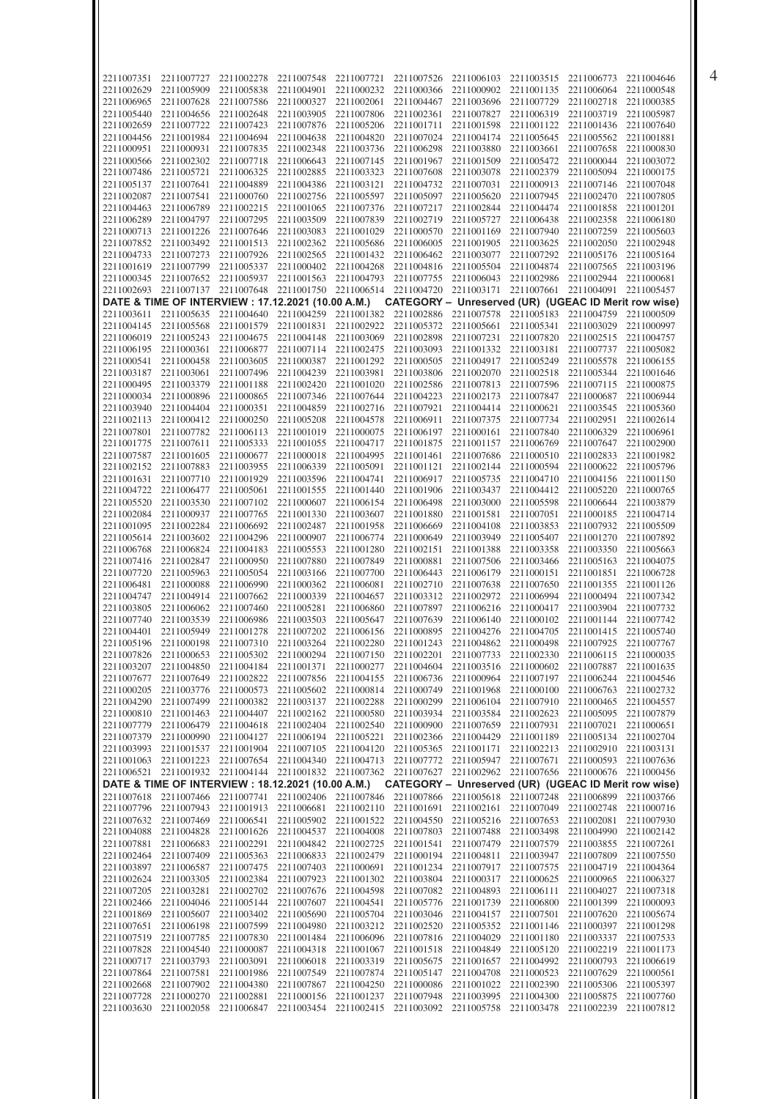| 2211007351 | 2211007727                                         | 2211002278                       | 2211007548 | 2211007721 | 2211007526                                                                              | 2211006103 | 2211003515 | 2211006773                                                | 2211004646 |
|------------|----------------------------------------------------|----------------------------------|------------|------------|-----------------------------------------------------------------------------------------|------------|------------|-----------------------------------------------------------|------------|
| 2211002629 | 2211005909                                         | 2211005838                       | 2211004901 | 2211000232 | 2211000366                                                                              | 2211000902 | 2211001135 | 2211006064                                                | 2211000548 |
| 2211006965 | 2211007628                                         | 2211007586                       | 2211000327 | 2211002061 | 2211004467                                                                              | 2211003696 | 2211007729 | 2211002718                                                | 2211000385 |
|            |                                                    |                                  |            |            |                                                                                         |            |            |                                                           |            |
| 2211005440 | 2211004656                                         | 2211002648                       | 2211003905 | 2211007806 | 2211002361                                                                              | 2211007827 | 2211006319 | 2211003719                                                | 2211005987 |
| 2211002659 | 2211007722                                         | 2211007423                       | 2211007876 | 2211005206 | 2211001711                                                                              | 2211001598 | 2211001122 | 2211001436                                                | 2211007640 |
| 2211004456 | 2211001984                                         | 2211004694                       | 2211004638 | 2211004820 | 2211007024                                                                              | 2211004174 | 2211005645 | 2211005562                                                | 2211001881 |
| 2211000951 | 2211000931                                         | 2211007835                       | 2211002348 | 2211003736 | 2211006298                                                                              | 2211003880 | 2211003661 | 2211007658                                                | 2211000830 |
| 2211000566 | 2211002302                                         | 2211007718                       | 2211006643 | 2211007145 | 2211001967                                                                              | 2211001509 | 2211005472 | 2211000044                                                | 2211003072 |
| 2211007486 | 2211005721                                         | 2211006325                       | 2211002885 | 2211003323 | 2211007608                                                                              | 2211003078 | 2211002379 | 2211005094                                                | 2211000175 |
| 2211005137 | 2211007641                                         | 2211004889                       | 2211004386 | 2211003121 | 2211004732                                                                              | 2211007031 | 2211000913 | 2211007146                                                | 2211007048 |
| 2211002087 | 2211007541                                         | 2211000760                       | 2211002756 | 2211005597 | 2211005097                                                                              | 2211005620 | 2211007945 | 2211002470                                                | 2211007805 |
| 2211004463 | 2211006789                                         | 2211002215                       | 2211001065 | 2211007376 | 2211007217                                                                              | 2211002844 | 2211004474 | 2211001858                                                | 2211001201 |
| 2211006289 |                                                    | 2211007295                       | 2211003509 | 2211007839 | 2211002719                                                                              | 2211005727 | 2211006438 | 2211002358                                                |            |
|            | 2211004797                                         |                                  |            |            |                                                                                         |            |            |                                                           | 2211006180 |
| 2211000713 | 2211001226                                         | 2211007646                       | 2211003083 | 2211001029 | 2211000570                                                                              | 2211001169 | 2211007940 | 2211007259                                                | 2211005603 |
| 2211007852 | 2211003492                                         | 2211001513                       | 2211002362 | 2211005686 | 2211006005                                                                              | 2211001905 | 2211003625 | 2211002050                                                | 2211002948 |
| 2211004733 | 2211007273                                         | 2211007926                       | 2211002565 | 2211001432 | 2211006462                                                                              | 2211003077 | 2211007292 | 2211005176                                                | 2211005164 |
| 2211001619 | 2211007799                                         | 2211005337                       | 2211000402 | 2211004268 | 2211004816                                                                              | 2211005504 | 2211004874 | 2211007565                                                | 2211003196 |
| 2211000345 | 2211007652                                         | 2211005937                       | 2211001563 | 2211004793 | 2211007755                                                                              | 2211006043 | 2211002986 | 2211002944                                                | 2211000681 |
| 2211002693 | 2211007137                                         | 2211007648                       | 2211001750 | 2211006514 | 2211004720                                                                              | 2211003171 | 2211007661 | 2211004091                                                | 2211005457 |
|            | DATE & TIME OF INTERVIEW : 17.12.2021 (10.00 A.M.) |                                  |            |            | CATEGORY - Unreserved (UR) (UGEAC ID Merit row wise)                                    |            |            |                                                           |            |
| 2211003611 | 2211005635                                         | 2211004640                       | 2211004259 | 2211001382 | 2211002886                                                                              | 2211007578 | 2211005183 | 2211004759                                                | 2211000509 |
| 2211004145 | 2211005568                                         | 2211001579                       | 2211001831 | 2211002922 | 2211005372                                                                              | 2211005661 | 2211005341 | 2211003029                                                | 2211000997 |
|            |                                                    |                                  |            |            |                                                                                         |            |            |                                                           |            |
| 2211006019 | 2211005243                                         | 2211004675                       | 2211004148 | 2211003069 | 2211002898                                                                              | 2211007231 | 2211007820 | 2211002515                                                | 2211004757 |
| 2211006195 | 2211000361                                         | 2211006877                       | 2211007114 | 2211002475 | 2211003093                                                                              | 2211001332 | 2211003181 | 2211007737                                                | 2211005082 |
| 2211000541 | 2211000458                                         | 2211003605                       | 2211000387 | 2211001292 | 2211000505                                                                              | 2211004917 | 2211005249 | 2211005578                                                | 2211006155 |
| 2211003187 | 2211003061                                         | 2211007496                       | 2211004239 | 2211003981 | 2211003806                                                                              | 2211002070 | 2211002518 | 2211005344                                                | 2211001646 |
| 2211000495 | 2211003379                                         | 2211001188                       | 2211002420 | 2211001020 | 2211002586                                                                              | 2211007813 | 2211007596 | 2211007115                                                | 2211000875 |
| 2211000034 | 2211000896                                         | 2211000865                       | 2211007346 | 2211007644 | 2211004223                                                                              | 2211002173 | 2211007847 | 2211000687                                                | 2211006944 |
| 2211003940 | 2211004404                                         | 2211000351                       | 2211004859 | 2211002716 | 2211007921                                                                              | 2211004414 | 2211000621 | 2211003545                                                | 2211005360 |
| 2211002113 | 2211000412                                         | 2211000250                       | 2211005208 | 2211004578 | 2211006911                                                                              | 2211007375 | 2211007734 | 2211002951                                                | 2211002614 |
| 2211007801 | 2211007782                                         | 2211006113                       | 2211001019 | 2211000075 | 2211006197                                                                              | 2211000161 | 2211007840 | 2211006329                                                | 2211006961 |
| 2211001775 | 2211007611                                         | 2211005333                       | 2211001055 | 2211004717 | 2211001875                                                                              | 2211001157 | 2211006769 | 2211007647                                                | 2211002900 |
| 2211007587 | 2211001605                                         | 2211000677                       | 2211000018 | 2211004995 | 2211001461                                                                              | 2211007686 | 2211000510 | 2211002833                                                | 2211001982 |
| 2211002152 | 2211007883                                         | 2211003955                       | 2211006339 | 2211005091 | 2211001121                                                                              | 2211002144 | 2211000594 | 2211000622                                                | 2211005796 |
|            |                                                    |                                  |            |            |                                                                                         |            |            |                                                           |            |
| 2211001631 | 2211007710                                         | 2211001929                       | 2211003596 | 2211004741 | 2211006917                                                                              | 2211005735 | 2211004710 | 2211004156                                                | 2211001150 |
| 2211004722 | 2211006477                                         | 2211005061                       | 2211001555 | 2211001440 | 2211001906                                                                              | 2211003437 | 2211004412 | 2211005220                                                | 2211000765 |
| 2211005520 | 2211003530                                         | 2211007102                       | 2211000607 | 2211006154 | 2211006498                                                                              | 2211003000 | 2211005598 | 2211006644                                                | 2211003879 |
| 2211002084 | 2211000937                                         | 2211007765                       | 2211001330 | 2211003607 | 2211001880                                                                              | 2211001581 | 2211007051 | 2211000185                                                | 2211004714 |
| 2211001095 | 2211002284                                         | 2211006692                       | 2211002487 | 2211001958 | 2211006669                                                                              | 2211004108 | 2211003853 | 2211007932                                                | 2211005509 |
| 2211005614 | 2211003602                                         | 2211004296                       | 2211000907 | 2211006774 | 2211000649                                                                              | 2211003949 | 2211005407 | 2211001270                                                | 2211007892 |
| 2211006768 | 2211006824                                         | 2211004183                       | 2211005553 | 2211001280 | 2211002151                                                                              | 2211001388 | 2211003358 | 2211003350                                                | 2211005663 |
| 2211007416 | 2211002847                                         | 2211000950                       | 2211007880 | 2211007849 | 2211000881                                                                              | 2211007506 | 2211003466 | 2211005163                                                | 2211004075 |
| 2211007720 | 2211005963                                         | 2211005054                       | 2211003166 | 2211007700 | 2211006443                                                                              | 2211006179 | 2211000151 | 2211001851                                                | 2211006728 |
| 2211006481 | 2211000088                                         | 2211006990                       | 2211000362 | 2211006081 | 2211002710                                                                              | 2211007638 | 2211007650 | 2211001355                                                | 2211001126 |
|            |                                                    |                                  |            |            |                                                                                         |            |            |                                                           |            |
| 2211004747 | 2211004914                                         | 2211007662                       | 2211000339 | 2211004657 | 2211003312                                                                              | 2211002972 | 2211006994 | 2211000494                                                | 2211007342 |
| 2211003805 | 2211006062                                         | 2211007460                       | 2211005281 | 2211006860 | 2211007897                                                                              | 2211006216 | 2211000417 | 2211003904                                                | 2211007732 |
| 2211007740 | 2211003539                                         |                                  |            | 2211005647 | 2211007639                                                                              | 2211006140 | 2211000102 | 2211001144                                                |            |
|            |                                                    | 2211006986                       | 2211003503 |            |                                                                                         |            |            |                                                           | 2211007742 |
| 2211004401 | 2211005949                                         | 2211001278                       | 2211007202 | 2211006156 | 2211000895                                                                              | 2211004276 | 2211004705 | 2211001415                                                | 2211005740 |
|            | 2211005196 2211000198                              |                                  |            |            | 2211007310 2211003264 2211002280 2211001243 2211004862 2211000498 2211007925 2211007767 |            |            |                                                           |            |
| 2211007826 |                                                    | 2211000653 2211005302 2211000294 |            |            | 2211007150 2211002201                                                                   | 2211007733 | 2211002330 | 2211006115 2211000035                                     |            |
| 2211003207 | 2211004850                                         | 2211004184                       | 2211001371 | 2211000277 | 2211004604                                                                              | 2211003516 | 2211000602 | 2211007887                                                | 2211001635 |
| 2211007677 | 2211007649                                         | 2211002822                       | 2211007856 | 2211004155 | 2211006736                                                                              | 2211000964 | 2211007197 | 2211006244                                                | 2211004546 |
|            |                                                    |                                  |            |            |                                                                                         |            |            |                                                           |            |
| 2211000205 | 2211003776                                         | 2211000573                       | 2211005602 | 2211000814 | 2211000749                                                                              | 2211001968 | 2211000100 | 2211006763                                                | 2211002732 |
| 2211004290 | 2211007499                                         | 2211000382                       | 2211003137 | 2211002288 | 2211000299                                                                              | 2211006104 | 2211007910 | 2211000465                                                | 2211004557 |
| 2211000810 | 2211001463                                         | 2211004407                       | 2211002162 | 2211000580 | 2211003934                                                                              | 2211003584 | 2211002623 | 2211005095                                                | 2211007879 |
| 2211007779 | 2211006479                                         | 2211004618                       | 2211002404 | 2211002540 | 2211000900                                                                              | 2211007659 | 2211007931 | 2211007021                                                | 2211000651 |
| 2211007379 | 2211000990                                         | 2211004127                       | 2211006194 | 2211005221 | 2211002366                                                                              | 2211004429 | 2211001189 | 2211005134                                                | 2211002704 |
| 2211003993 | 2211001537                                         | 2211001904                       | 2211007105 | 2211004120 | 2211005365                                                                              | 2211001171 | 2211002213 | 2211002910 2211003131                                     |            |
| 2211001063 | 2211001223                                         | 2211007654                       | 2211004340 | 2211004713 | 2211007772                                                                              | 2211005947 | 2211007671 | 2211000593 2211007636                                     |            |
|            |                                                    |                                  |            |            | 2211006521 2211001932 2211004144 2211001832 2211007362 2211007627 2211002962 2211007656 |            |            | 2211000676 2211000456                                     |            |
|            | DATE & TIME OF INTERVIEW : 18.12.2021 (10.00 A.M.) |                                  |            |            | CATEGORY - Unreserved (UR) (UGEAC ID Merit row wise)                                    |            |            |                                                           |            |
|            | 2211007618 2211007466 2211007741                   |                                  |            |            | 2211002406 2211007846 2211007866 2211005618                                             |            |            | 2211007248 2211006899 2211003766                          |            |
| 2211007796 | 2211007943                                         | 2211001913                       | 2211006681 |            | 2211002110 2211001691 2211002161                                                        |            |            | 2211007049 2211002748 2211000716                          |            |
| 2211007632 | 2211007469                                         | 2211006541                       | 2211005902 | 2211001522 | 2211004550                                                                              | 2211005216 | 2211007653 | 2211002081 2211007930                                     |            |
|            |                                                    |                                  |            |            |                                                                                         |            |            |                                                           |            |
| 2211004088 | 2211004828                                         | 2211001626                       | 2211004537 | 2211004008 | 2211007803                                                                              | 2211007488 | 2211003498 | 2211004990 2211002142                                     |            |
| 2211007881 | 2211006683                                         | 2211002291                       | 2211004842 | 2211002725 | 2211001541                                                                              | 2211007479 | 2211007579 | 2211003855 2211007261                                     |            |
| 2211002464 | 2211007409                                         | 2211005363                       | 2211006833 | 2211002479 | 2211000194                                                                              | 2211004811 | 2211003947 | 2211007809                                                | 2211007550 |
| 2211003897 | 2211006587                                         | 2211007475                       | 2211007403 | 2211000691 | 2211001234                                                                              | 2211007917 | 2211007575 | 2211004719                                                | 2211004364 |
| 2211002624 | 2211003305                                         | 2211002384                       | 2211007923 | 2211001302 | 2211003804                                                                              | 2211000317 | 2211000625 | 2211000965                                                | 2211006327 |
| 2211007205 | 2211003281                                         | 2211002702                       | 2211007676 | 2211004598 | 2211007082                                                                              | 2211004893 | 2211006111 | 2211004027                                                | 2211007318 |
| 2211002466 | 2211004046                                         | 2211005144                       | 2211007607 | 2211004541 | 2211005776                                                                              | 2211001739 | 2211006800 | 2211001399                                                | 2211000093 |
| 2211001869 | 2211005607                                         | 2211003402                       | 2211005690 | 2211005704 | 2211003046                                                                              | 2211004157 | 2211007501 | 2211007620                                                | 2211005674 |
| 2211007651 | 2211006198                                         | 2211007599                       | 2211004980 | 2211003212 | 2211002520                                                                              | 2211005352 |            | 2211001146 2211000397 2211001298                          |            |
| 2211007519 | 2211007785                                         | 2211007830                       | 2211001484 | 2211006096 | 2211007816                                                                              | 2211004029 | 2211001180 | 2211003337                                                | 2211007533 |
| 2211007828 | 2211004540                                         | 2211000087                       | 2211004318 | 2211001067 | 2211001518                                                                              | 2211004849 | 2211005120 | 2211002219 2211001173                                     |            |
| 2211000717 | 2211003793                                         | 2211003091                       | 2211006018 | 2211003319 | 2211005675                                                                              | 2211001657 | 2211004992 | 2211000793                                                | 2211006619 |
|            |                                                    |                                  |            |            |                                                                                         |            |            |                                                           |            |
| 2211007864 | 2211007581                                         | 2211001986                       | 2211007549 | 2211007874 | 2211005147                                                                              | 2211004708 | 2211000523 | 2211007629                                                | 2211000561 |
| 2211002668 | 2211007902                                         | 2211004380                       | 2211007867 | 2211004250 | 2211000086                                                                              | 2211001022 | 2211002390 | 2211005306 2211005397                                     |            |
| 2211003630 | 2211007728 2211000270<br>2211002058                | 2211002881<br>2211006847         | 2211000156 | 2211001237 | 2211007948 2211003995<br>2211003454 2211002415 2211003092 2211005758                    |            | 2211003478 | 2211004300 2211005875 2211007760<br>2211002239 2211007812 |            |